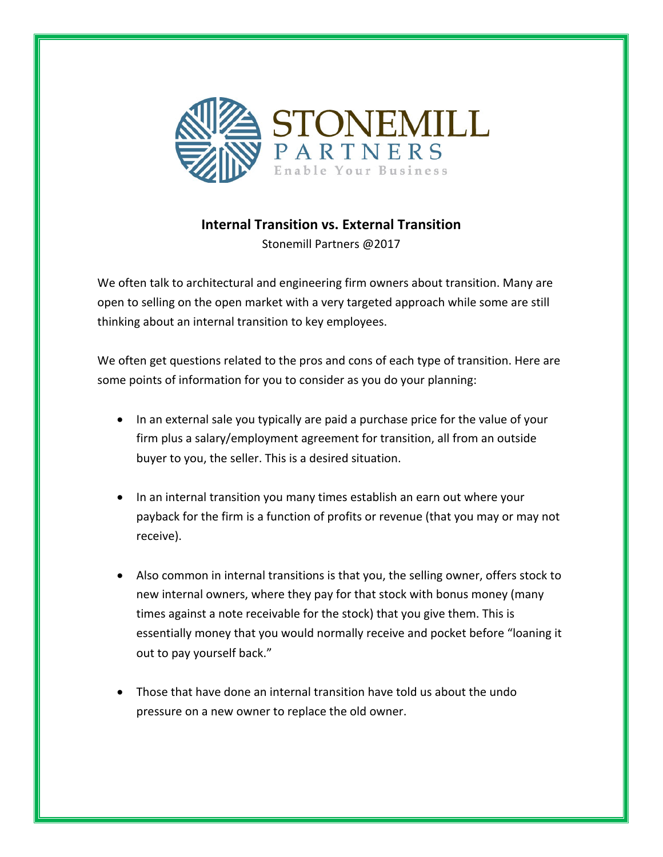

## **Internal Transition vs. External Transition**

Stonemill Partners @2017

We often talk to architectural and engineering firm owners about transition. Many are open to selling on the open market with a very targeted approach while some are still thinking about an internal transition to key employees.

We often get questions related to the pros and cons of each type of transition. Here are some points of information for you to consider as you do your planning:

- In an external sale you typically are paid a purchase price for the value of your firm plus a salary/employment agreement for transition, all from an outside buyer to you, the seller. This is a desired situation.
- In an internal transition you many times establish an earn out where your payback for the firm is a function of profits or revenue (that you may or may not receive).
- Also common in internal transitions is that you, the selling owner, offers stock to new internal owners, where they pay for that stock with bonus money (many times against a note receivable for the stock) that you give them. This is essentially money that you would normally receive and pocket before "loaning it out to pay yourself back."
- Those that have done an internal transition have told us about the undo pressure on a new owner to replace the old owner.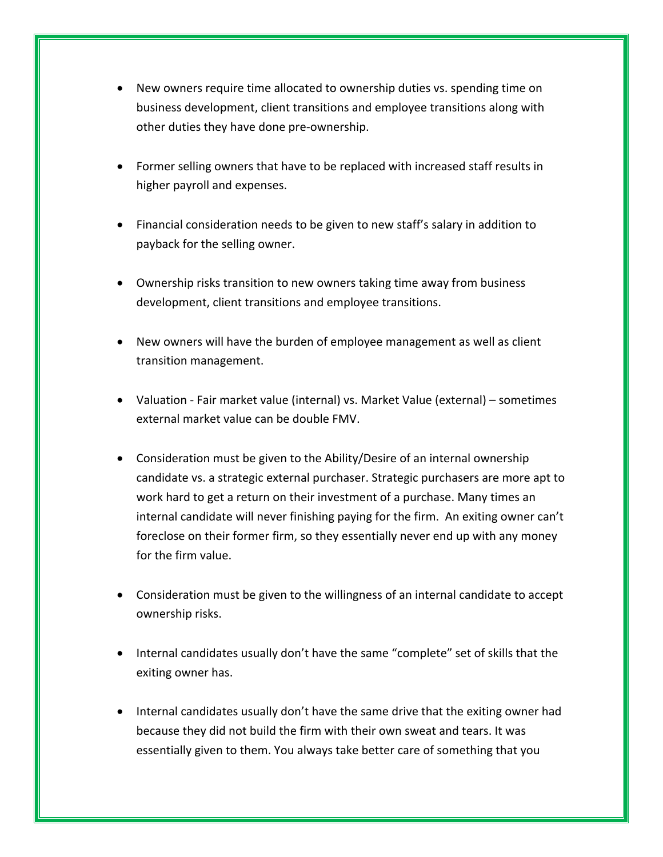- New owners require time allocated to ownership duties vs. spending time on business development, client transitions and employee transitions along with other duties they have done pre-ownership.
- Former selling owners that have to be replaced with increased staff results in higher payroll and expenses.
- Financial consideration needs to be given to new staff's salary in addition to payback for the selling owner.
- Ownership risks transition to new owners taking time away from business development, client transitions and employee transitions.
- New owners will have the burden of employee management as well as client transition management.
- Valuation Fair market value (internal) vs. Market Value (external) sometimes external market value can be double FMV.
- Consideration must be given to the Ability/Desire of an internal ownership candidate vs. a strategic external purchaser. Strategic purchasers are more apt to work hard to get a return on their investment of a purchase. Many times an internal candidate will never finishing paying for the firm. An exiting owner can't foreclose on their former firm, so they essentially never end up with any money for the firm value.
- Consideration must be given to the willingness of an internal candidate to accept ownership risks.
- Internal candidates usually don't have the same "complete" set of skills that the exiting owner has.
- Internal candidates usually don't have the same drive that the exiting owner had because they did not build the firm with their own sweat and tears. It was essentially given to them. You always take better care of something that you